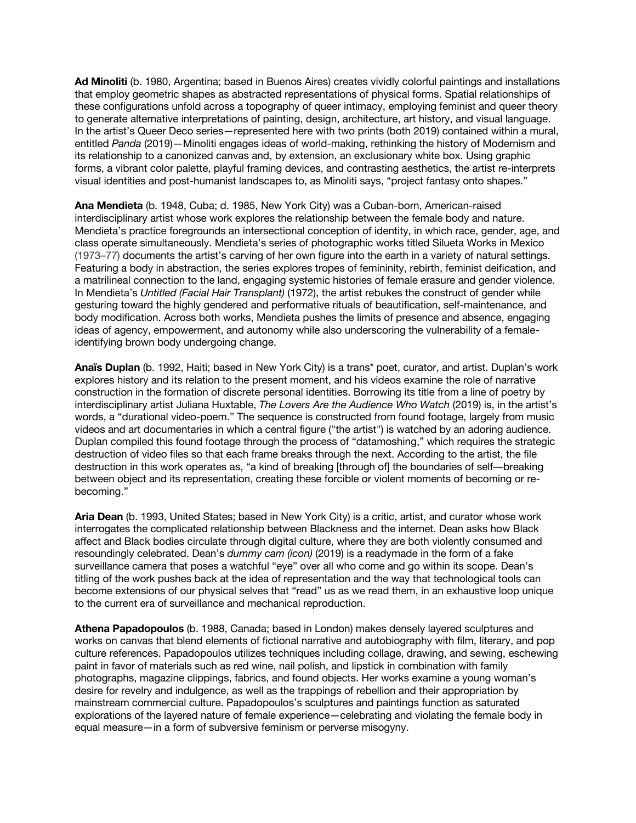**Ad Minoliti** (b. 1980, Argentina; based in Buenos Aires) creates vividly colorful paintings and installations that employ geometric shapes as abstracted representations of physical forms. Spatial relationships of these configurations unfold across a topography of queer intimacy, employing feminist and queer theory to generate alternative interpretations of painting, design, architecture, art history, and visual language. In the artist's Queer Deco series—represented here with two prints (both 2019) contained within a mural, entitled *Panda* (2019)—Minoliti engages ideas of world-making, rethinking the history of Modernism and its relationship to a canonized canvas and, by extension, an exclusionary white box. Using graphic forms, a vibrant color palette, playful framing devices, and contrasting aesthetics, the artist re-interprets visual identities and post-humanist landscapes to, as Minoliti says, "project fantasy onto shapes."

**Ana Mendieta** (b. 1948, Cuba; d. 1985, New York City) was a Cuban-born, American-raised interdisciplinary artist whose work explores the relationship between the female body and nature. Mendieta's practice foregrounds an intersectional conception of identity, in which race, gender, age, and class operate simultaneously. Mendieta's series of photographic works titled Silueta Works in Mexico (1973–77) documents the artist's carving of her own figure into the earth in a variety of natural settings. Featuring a body in abstraction, the series explores tropes of femininity, rebirth, feminist deification, and a matrilineal connection to the land, engaging systemic histories of female erasure and gender violence. In Mendieta's *Untitled (Facial Hair Transplant)* (1972), the artist rebukes the construct of gender while gesturing toward the highly gendered and performative rituals of beautification, self-maintenance, and body modification. Across both works, Mendieta pushes the limits of presence and absence, engaging ideas of agency, empowerment, and autonomy while also underscoring the vulnerability of a femaleidentifying brown body undergoing change.

**Anaïs Duplan** (b. 1992, Haiti; based in New York City) is a trans\* poet, curator, and artist. Duplan's work explores history and its relation to the present moment, and his videos examine the role of narrative construction in the formation of discrete personal identities. Borrowing its title from a line of poetry by interdisciplinary artist Juliana Huxtable, *The Lovers Are the Audience Who Watch* (2019) is, in the artist's words, a "durational video-poem." The sequence is constructed from found footage, largely from music videos and art documentaries in which a central figure ("the artist") is watched by an adoring audience. Duplan compiled this found footage through the process of "datamoshing," which requires the strategic destruction of video files so that each frame breaks through the next. According to the artist, the file destruction in this work operates as, "a kind of breaking [through of] the boundaries of self––breaking between object and its representation, creating these forcible or violent moments of becoming or rebecoming."

**Aria Dean** (b. 1993, United States; based in New York City) is a critic, artist, and curator whose work interrogates the complicated relationship between Blackness and the internet. Dean asks how Black affect and Black bodies circulate through digital culture, where they are both violently consumed and resoundingly celebrated. Dean's *dummy cam (icon)* (2019) is a readymade in the form of a fake surveillance camera that poses a watchful "eye" over all who come and go within its scope. Dean's titling of the work pushes back at the idea of representation and the way that technological tools can become extensions of our physical selves that "read" us as we read them, in an exhaustive loop unique to the current era of surveillance and mechanical reproduction.

**Athena Papadopoulos** (b. 1988, Canada; based in London) makes densely layered sculptures and works on canvas that blend elements of fictional narrative and autobiography with film, literary, and pop culture references. Papadopoulos utilizes techniques including collage, drawing, and sewing, eschewing paint in favor of materials such as red wine, nail polish, and lipstick in combination with family photographs, magazine clippings, fabrics, and found objects. Her works examine a young woman's desire for revelry and indulgence, as well as the trappings of rebellion and their appropriation by mainstream commercial culture. Papadopoulos's sculptures and paintings function as saturated explorations of the layered nature of female experience—celebrating and violating the female body in equal measure—in a form of subversive feminism or perverse misogyny.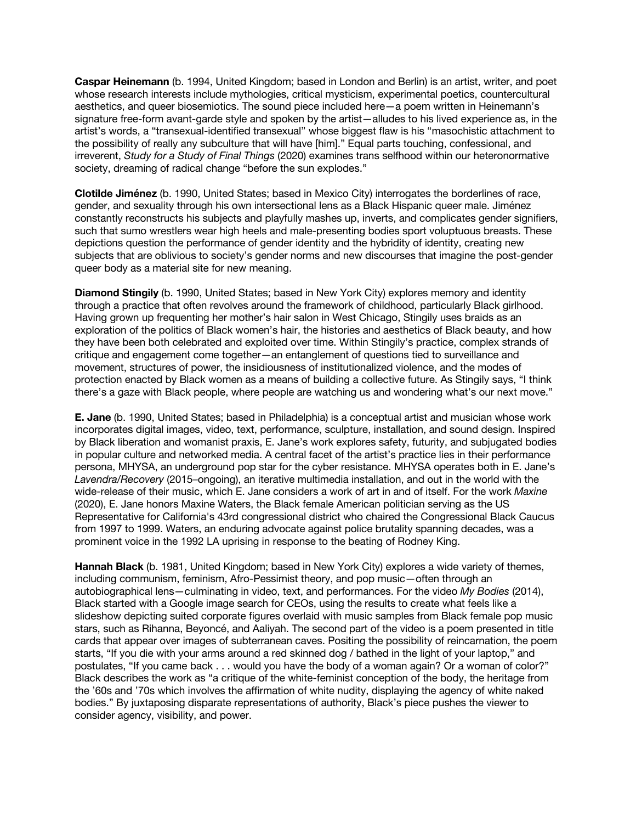**Caspar Heinemann** (b. 1994, United Kingdom; based in London and Berlin) is an artist, writer, and poet whose research interests include mythologies, critical mysticism, experimental poetics, countercultural aesthetics, and queer biosemiotics. The sound piece included here—a poem written in Heinemann's signature free-form avant-garde style and spoken by the artist—alludes to his lived experience as, in the artist's words, a "transexual-identified transexual" whose biggest flaw is his "masochistic attachment to the possibility of really any subculture that will have [him]." Equal parts touching, confessional, and irreverent, *Study for a Study of Final Things* (2020) examines trans selfhood within our heteronormative society, dreaming of radical change "before the sun explodes."

**Clotilde Jiménez** (b. 1990, United States; based in Mexico City) interrogates the borderlines of race, gender, and sexuality through his own intersectional lens as a Black Hispanic queer male. Jiménez constantly reconstructs his subjects and playfully mashes up, inverts, and complicates gender signifiers, such that sumo wrestlers wear high heels and male-presenting bodies sport voluptuous breasts. These depictions question the performance of gender identity and the hybridity of identity, creating new subjects that are oblivious to society's gender norms and new discourses that imagine the post-gender queer body as a material site for new meaning.

**Diamond Stingily** (b. 1990, United States; based in New York City) explores memory and identity through a practice that often revolves around the framework of childhood, particularly Black girlhood. Having grown up frequenting her mother's hair salon in West Chicago, Stingily uses braids as an exploration of the politics of Black women's hair, the histories and aesthetics of Black beauty, and how they have been both celebrated and exploited over time. Within Stingily's practice, complex strands of critique and engagement come together—an entanglement of questions tied to surveillance and movement, structures of power, the insidiousness of institutionalized violence, and the modes of protection enacted by Black women as a means of building a collective future. As Stingily says, "I think there's a gaze with Black people, where people are watching us and wondering what's our next move."

**E. Jane** (b. 1990, United States; based in Philadelphia) is a conceptual artist and musician whose work incorporates digital images, video, text, performance, sculpture, installation, and sound design. Inspired by Black liberation and womanist praxis, E. Jane's work explores safety, futurity, and subjugated bodies in popular culture and networked media. A central facet of the artist's practice lies in their performance persona, MHYSA, an underground pop star for the cyber resistance. MHYSA operates both in E. Jane's *Lavendra/Recovery* (2015–ongoing), an iterative multimedia installation, and out in the world with the wide-release of their music, which E. Jane considers a work of art in and of itself. For the work *Maxine* (2020), E. Jane honors Maxine Waters, the Black female American politician serving as the US Representative for California's 43rd congressional district who chaired the Congressional Black Caucus from 1997 to 1999. Waters, an enduring advocate against police brutality spanning decades, was a prominent voice in the 1992 LA uprising in response to the beating of Rodney King.

**Hannah Black** (b. 1981, United Kingdom; based in New York City) explores a wide variety of themes, including communism, feminism, Afro-Pessimist theory, and pop music—often through an autobiographical lens—culminating in video, text, and performances. For the video *My Bodies* (2014), Black started with a Google image search for CEOs, using the results to create what feels like a slideshow depicting suited corporate figures overlaid with music samples from Black female pop music stars, such as Rihanna, Beyoncé, and Aaliyah. The second part of the video is a poem presented in title cards that appear over images of subterranean caves. Positing the possibility of reincarnation, the poem starts, "If you die with your arms around a red skinned dog / bathed in the light of your laptop," and postulates, "If you came back . . . would you have the body of a woman again? Or a woman of color?" Black describes the work as "a critique of the white-feminist conception of the body, the heritage from the '60s and '70s which involves the affirmation of white nudity, displaying the agency of white naked bodies." By juxtaposing disparate representations of authority, Black's piece pushes the viewer to consider agency, visibility, and power.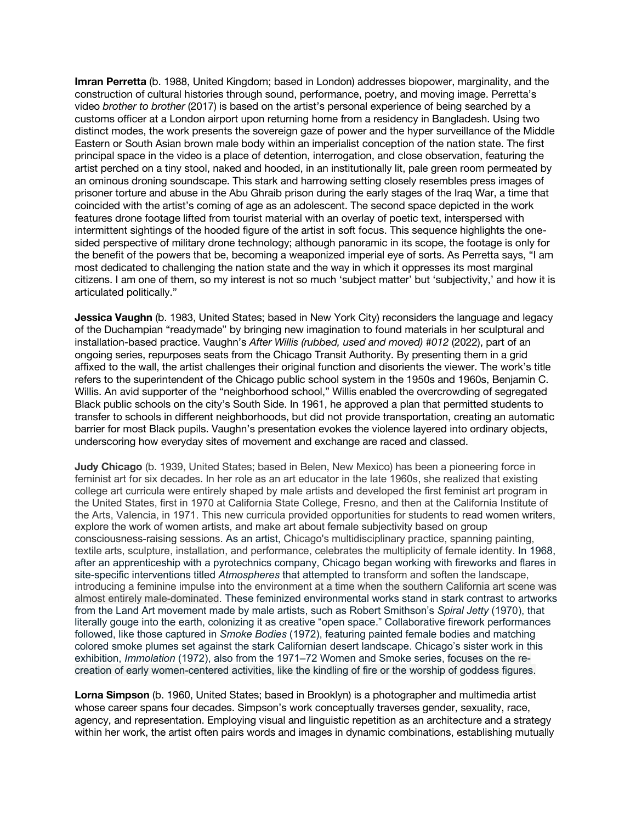**Imran Perretta** (b. 1988, United Kingdom; based in London) addresses biopower, marginality, and the construction of cultural histories through sound, performance, poetry, and moving image. Perretta's video *brother to brother* (2017) is based on the artist's personal experience of being searched by a customs officer at a London airport upon returning home from a residency in Bangladesh. Using two distinct modes, the work presents the sovereign gaze of power and the hyper surveillance of the Middle Eastern or South Asian brown male body within an imperialist conception of the nation state. The first principal space in the video is a place of detention, interrogation, and close observation, featuring the artist perched on a tiny stool, naked and hooded, in an institutionally lit, pale green room permeated by an ominous droning soundscape. This stark and harrowing setting closely resembles press images of prisoner torture and abuse in the Abu Ghraib prison during the early stages of the Iraq War, a time that coincided with the artist's coming of age as an adolescent. The second space depicted in the work features drone footage lifted from tourist material with an overlay of poetic text, interspersed with intermittent sightings of the hooded figure of the artist in soft focus. This sequence highlights the onesided perspective of military drone technology; although panoramic in its scope, the footage is only for the benefit of the powers that be, becoming a weaponized imperial eye of sorts. As Perretta says, "I am most dedicated to challenging the nation state and the way in which it oppresses its most marginal citizens. I am one of them, so my interest is not so much 'subject matter' but 'subjectivity,' and how it is articulated politically."

**Jessica Vaughn** (b. 1983, United States; based in New York City) reconsiders the language and legacy of the Duchampian "readymade" by bringing new imagination to found materials in her sculptural and installation-based practice. Vaughn's *After Willis (rubbed, used and moved) #012* (2022), part of an ongoing series, repurposes seats from the Chicago Transit Authority. By presenting them in a grid affixed to the wall, the artist challenges their original function and disorients the viewer. The work's title refers to the superintendent of the Chicago public school system in the 1950s and 1960s, Benjamin C. Willis. An avid supporter of the "neighborhood school," Willis enabled the overcrowding of segregated Black public schools on the city's South Side. In 1961, he approved a plan that permitted students to transfer to schools in different neighborhoods, but did not provide transportation, creating an automatic barrier for most Black pupils. Vaughn's presentation evokes the violence layered into ordinary objects, underscoring how everyday sites of movement and exchange are raced and classed.

**Judy Chicago** (b. 1939, United States; based in Belen, New Mexico) has been a pioneering force in feminist art for six decades. In her role as an art educator in the late 1960s, she realized that existing college art curricula were entirely shaped by male artists and developed the first feminist art program in the United States, first in 1970 at California State College, Fresno, and then at the California Institute of the Arts, Valencia, in 1971. This new curricula provided opportunities for students to read women writers, explore the work of women artists, and make art about female subjectivity based on group consciousness-raising sessions. As an artist, Chicago's multidisciplinary practice, spanning painting, textile arts, sculpture, installation, and performance, celebrates the multiplicity of female identity. In 1968, after an apprenticeship with a pyrotechnics company, Chicago began working with fireworks and flares in site-specific interventions titled *Atmospheres* that attempted to transform and soften the landscape, introducing a feminine impulse into the environment at a time when the southern California art scene was almost entirely male-dominated. These feminized environmental works stand in stark contrast to artworks from the Land Art movement made by male artists, such as Robert Smithson's *Spiral Jetty* (1970), that literally gouge into the earth, colonizing it as creative "open space." Collaborative firework performances followed, like those captured in *Smoke Bodies* (1972), featuring painted female bodies and matching colored smoke plumes set against the stark Californian desert landscape. Chicago's sister work in this exhibition, *Immolation* (1972), also from the 1971–72 Women and Smoke series, focuses on the recreation of early women-centered activities, like the kindling of fire or the worship of goddess figures.

**Lorna Simpson** (b. 1960, United States; based in Brooklyn) is a photographer and multimedia artist whose career spans four decades. Simpson's work conceptually traverses gender, sexuality, race, agency, and representation. Employing visual and linguistic repetition as an architecture and a strategy within her work, the artist often pairs words and images in dynamic combinations, establishing mutually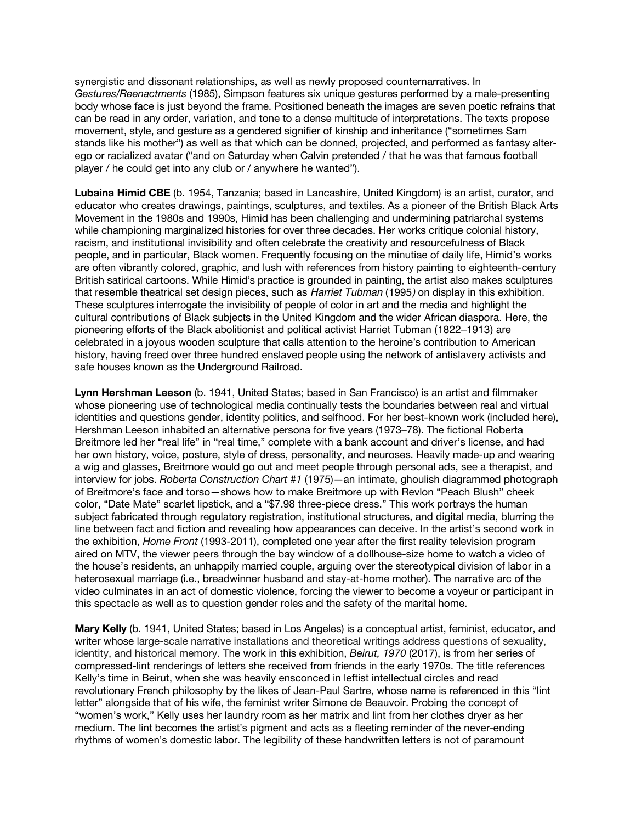synergistic and dissonant relationships, as well as newly proposed counternarratives. In *Gestures/Reenactments* (1985), Simpson features six unique gestures performed by a male-presenting body whose face is just beyond the frame. Positioned beneath the images are seven poetic refrains that can be read in any order, variation, and tone to a dense multitude of interpretations. The texts propose movement, style, and gesture as a gendered signifier of kinship and inheritance ("sometimes Sam stands like his mother") as well as that which can be donned, projected, and performed as fantasy alterego or racialized avatar ("and on Saturday when Calvin pretended / that he was that famous football player / he could get into any club or / anywhere he wanted").

**Lubaina Himid CBE** (b. 1954, Tanzania; based in Lancashire, United Kingdom) is an artist, curator, and educator who creates drawings, paintings, sculptures, and textiles. As a pioneer of the British Black Arts Movement in the 1980s and 1990s, Himid has been challenging and undermining patriarchal systems while championing marginalized histories for over three decades. Her works critique colonial history, racism, and institutional invisibility and often celebrate the creativity and resourcefulness of Black people, and in particular, Black women. Frequently focusing on the minutiae of daily life, Himid's works are often vibrantly colored, graphic, and lush with references from history painting to eighteenth-century British satirical cartoons. While Himid's practice is grounded in painting, the artist also makes sculptures that resemble theatrical set design pieces, such as *Harriet Tubman* (1995*)* on display in this exhibition. These sculptures interrogate the invisibility of people of color in art and the media and highlight the cultural contributions of Black subjects in the United Kingdom and the wider African diaspora. Here, the pioneering efforts of the Black abolitionist and political activist Harriet Tubman (1822–1913) are celebrated in a joyous wooden sculpture that calls attention to the heroine's contribution to American history, having freed over three hundred enslaved people using the network of antislavery activists and safe houses known as the Underground Railroad.

**Lynn Hershman Leeson** (b. 1941, United States; based in San Francisco) is an artist and filmmaker whose pioneering use of technological media continually tests the boundaries between real and virtual identities and questions gender, identity politics, and selfhood. For her best-known work (included here), Hershman Leeson inhabited an alternative persona for five years (1973–78). The fictional Roberta Breitmore led her "real life" in "real time," complete with a bank account and driver's license, and had her own history, voice, posture, style of dress, personality, and neuroses. Heavily made-up and wearing a wig and glasses, Breitmore would go out and meet people through personal ads, see a therapist, and interview for jobs. *Roberta Construction Chart #1* (1975)—an intimate, ghoulish diagrammed photograph of Breitmore's face and torso—shows how to make Breitmore up with Revlon "Peach Blush" cheek color, "Date Mate" scarlet lipstick, and a "\$7.98 three-piece dress." This work portrays the human subject fabricated through regulatory registration, institutional structures, and digital media, blurring the line between fact and fiction and revealing how appearances can deceive. In the artist's second work in the exhibition, *Home Front* (1993-2011), completed one year after the first reality television program aired on MTV, the viewer peers through the bay window of a dollhouse-size home to watch a video of the house's residents, an unhappily married couple, arguing over the stereotypical division of labor in a heterosexual marriage (i.e., breadwinner husband and stay-at-home mother). The narrative arc of the video culminates in an act of domestic violence, forcing the viewer to become a voyeur or participant in this spectacle as well as to question gender roles and the safety of the marital home.

**Mary Kelly** (b. 1941, United States; based in Los Angeles) is a conceptual artist, feminist, educator, and writer whose large-scale narrative installations and theoretical writings address questions of sexuality, identity, and historical memory. The work in this exhibition, *Beirut, 1970* (2017), is from her series of compressed-lint renderings of letters she received from friends in the early 1970s. The title references Kelly's time in Beirut, when she was heavily ensconced in leftist intellectual circles and read revolutionary French philosophy by the likes of Jean-Paul Sartre, whose name is referenced in this "lint letter" alongside that of his wife, the feminist writer Simone de Beauvoir. Probing the concept of "women's work," Kelly uses her laundry room as her matrix and lint from her clothes dryer as her medium. The lint becomes the artist's pigment and acts as a fleeting reminder of the never-ending rhythms of women's domestic labor. The legibility of these handwritten letters is not of paramount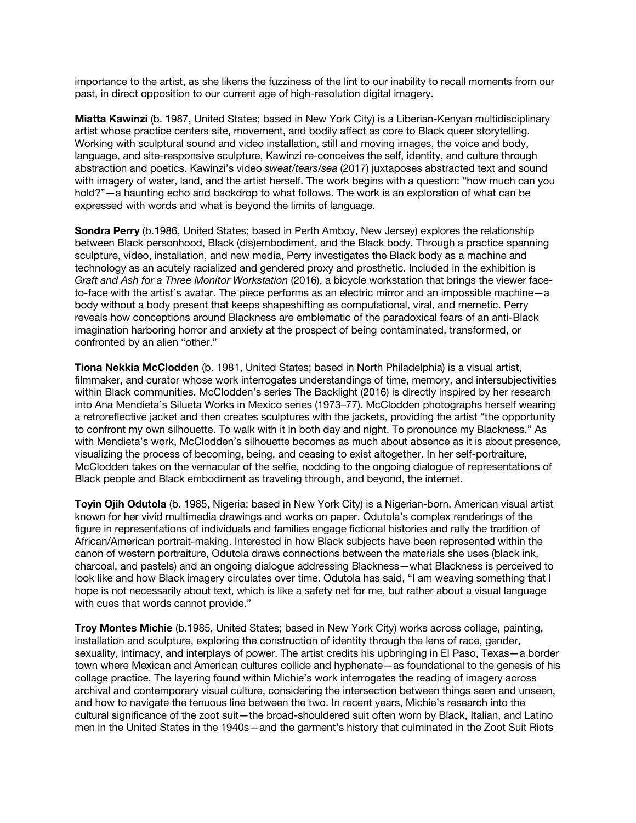importance to the artist, as she likens the fuzziness of the lint to our inability to recall moments from our past, in direct opposition to our current age of high-resolution digital imagery.

**Miatta Kawinzi** (b. 1987, United States; based in New York City) is a Liberian-Kenyan multidisciplinary artist whose practice centers site, movement, and bodily affect as core to Black queer storytelling. Working with sculptural sound and video installation, still and moving images, the voice and body, language, and site-responsive sculpture, Kawinzi re-conceives the self, identity, and culture through abstraction and poetics. Kawinzi's video *sweat/tears/sea* (2017) juxtaposes abstracted text and sound with imagery of water, land, and the artist herself. The work begins with a question: "how much can you hold?"—a haunting echo and backdrop to what follows. The work is an exploration of what can be expressed with words and what is beyond the limits of language.

**Sondra Perry** (b.1986, United States; based in Perth Amboy, New Jersey) explores the relationship between Black personhood, Black (dis)embodiment, and the Black body. Through a practice spanning sculpture, video, installation, and new media, Perry investigates the Black body as a machine and technology as an acutely racialized and gendered proxy and prosthetic. Included in the exhibition is *Graft and Ash for a Three Monitor Workstation* (2016), a bicycle workstation that brings the viewer faceto-face with the artist's avatar. The piece performs as an electric mirror and an impossible machine—a body without a body present that keeps shapeshifting as computational, viral, and memetic. Perry reveals how conceptions around Blackness are emblematic of the paradoxical fears of an anti-Black imagination harboring horror and anxiety at the prospect of being contaminated, transformed, or confronted by an alien "other."

**Tiona Nekkia McClodden** (b. 1981, United States; based in North Philadelphia) is a visual artist, filmmaker, and curator whose work interrogates understandings of time, memory, and intersubjectivities within Black communities. McClodden's series The Backlight (2016) is directly inspired by her research into Ana Mendieta's Silueta Works in Mexico series (1973–77). McClodden photographs herself wearing a retroreflective jacket and then creates sculptures with the jackets, providing the artist "the opportunity to confront my own silhouette. To walk with it in both day and night. To pronounce my Blackness." As with Mendieta's work, McClodden's silhouette becomes as much about absence as it is about presence, visualizing the process of becoming, being, and ceasing to exist altogether. In her self-portraiture, McClodden takes on the vernacular of the selfie, nodding to the ongoing dialogue of representations of Black people and Black embodiment as traveling through, and beyond, the internet.

**Toyin Ojih Odutola** (b. 1985, Nigeria; based in New York City) is a Nigerian-born, American visual artist known for her vivid multimedia drawings and works on paper. Odutola's complex renderings of the figure in representations of individuals and families engage fictional histories and rally the tradition of African/American portrait-making. Interested in how Black subjects have been represented within the canon of western portraiture, Odutola draws connections between the materials she uses (black ink, charcoal, and pastels) and an ongoing dialogue addressing Blackness—what Blackness is perceived to look like and how Black imagery circulates over time. Odutola has said, "I am weaving something that I hope is not necessarily about text, which is like a safety net for me, but rather about a visual language with cues that words cannot provide."

**Troy Montes Michie** (b.1985, United States; based in New York City) works across collage, painting, installation and sculpture, exploring the construction of identity through the lens of race, gender, sexuality, intimacy, and interplays of power. The artist credits his upbringing in El Paso, Texas—a border town where Mexican and American cultures collide and hyphenate—as foundational to the genesis of his collage practice. The layering found within Michie's work interrogates the reading of imagery across archival and contemporary visual culture, considering the intersection between things seen and unseen, and how to navigate the tenuous line between the two. In recent years, Michie's research into the cultural significance of the zoot suit—the broad-shouldered suit often worn by Black, Italian, and Latino men in the United States in the 1940s—and the garment's history that culminated in the Zoot Suit Riots